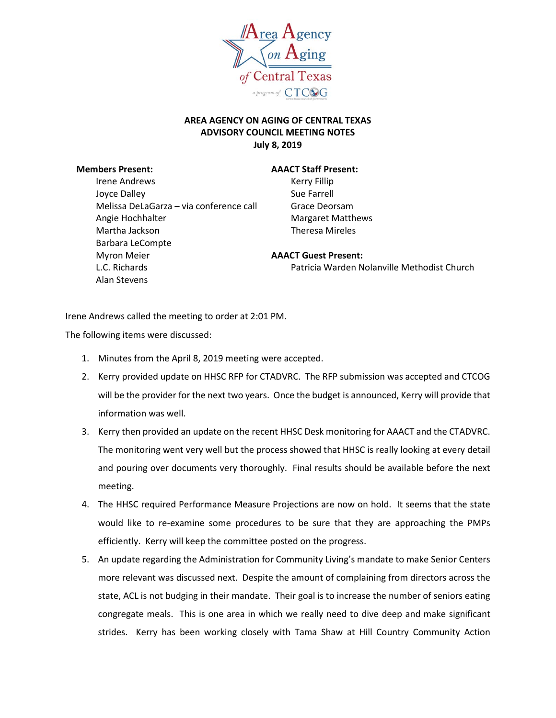

## **AREA AGENCY ON AGING OF CENTRAL TEXAS ADVISORY COUNCIL MEETING NOTES July 8, 2019**

Irene Andrews The Record of the Kerry Fillip Joyce Dalley **Sue Farrell** Melissa DeLaGarza – via conference call Grace Deorsam Angie Hochhalter **Margaret Matthews** Martha Jackson Theresa Mireles Barbara LeCompte Myron Meier **AAACT Guest Present:** Alan Stevens

## **Members Present: AAACT Staff Present:**

L.C. Richards Patricia Warden Nolanville Methodist Church

Irene Andrews called the meeting to order at 2:01 PM.

The following items were discussed:

- 1. Minutes from the April 8, 2019 meeting were accepted.
- 2. Kerry provided update on HHSC RFP for CTADVRC. The RFP submission was accepted and CTCOG will be the provider for the next two years. Once the budget is announced, Kerry will provide that information was well.
- 3. Kerry then provided an update on the recent HHSC Desk monitoring for AAACT and the CTADVRC. The monitoring went very well but the process showed that HHSC is really looking at every detail and pouring over documents very thoroughly. Final results should be available before the next meeting.
- 4. The HHSC required Performance Measure Projections are now on hold. It seems that the state would like to re-examine some procedures to be sure that they are approaching the PMPs efficiently. Kerry will keep the committee posted on the progress.
- 5. An update regarding the Administration for Community Living's mandate to make Senior Centers more relevant was discussed next. Despite the amount of complaining from directors across the state, ACL is not budging in their mandate. Their goal is to increase the number of seniors eating congregate meals. This is one area in which we really need to dive deep and make significant strides. Kerry has been working closely with Tama Shaw at Hill Country Community Action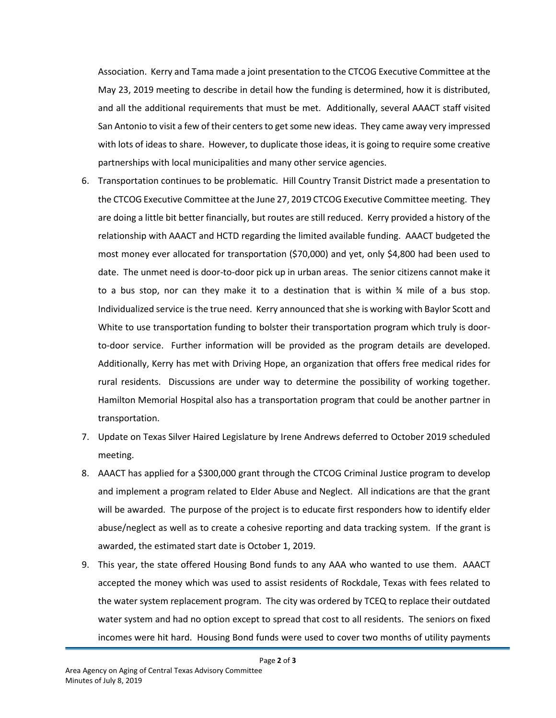Association. Kerry and Tama made a joint presentation to the CTCOG Executive Committee at the May 23, 2019 meeting to describe in detail how the funding is determined, how it is distributed, and all the additional requirements that must be met. Additionally, several AAACT staff visited San Antonio to visit a few of their centers to get some new ideas. They came away very impressed with lots of ideas to share. However, to duplicate those ideas, it is going to require some creative partnerships with local municipalities and many other service agencies.

- 6. Transportation continues to be problematic. Hill Country Transit District made a presentation to the CTCOG Executive Committee at the June 27, 2019 CTCOG Executive Committee meeting. They are doing a little bit better financially, but routes are still reduced. Kerry provided a history of the relationship with AAACT and HCTD regarding the limited available funding. AAACT budgeted the most money ever allocated for transportation (\$70,000) and yet, only \$4,800 had been used to date. The unmet need is door-to-door pick up in urban areas. The senior citizens cannot make it to a bus stop, nor can they make it to a destination that is within  $\frac{3}{4}$  mile of a bus stop. Individualized service is the true need. Kerry announced that she is working with Baylor Scott and White to use transportation funding to bolster their transportation program which truly is doorto-door service. Further information will be provided as the program details are developed. Additionally, Kerry has met with Driving Hope, an organization that offers free medical rides for rural residents. Discussions are under way to determine the possibility of working together. Hamilton Memorial Hospital also has a transportation program that could be another partner in transportation.
- 7. Update on Texas Silver Haired Legislature by Irene Andrews deferred to October 2019 scheduled meeting.
- 8. AAACT has applied for a \$300,000 grant through the CTCOG Criminal Justice program to develop and implement a program related to Elder Abuse and Neglect. All indications are that the grant will be awarded. The purpose of the project is to educate first responders how to identify elder abuse/neglect as well as to create a cohesive reporting and data tracking system. If the grant is awarded, the estimated start date is October 1, 2019.
- 9. This year, the state offered Housing Bond funds to any AAA who wanted to use them. AAACT accepted the money which was used to assist residents of Rockdale, Texas with fees related to the water system replacement program. The city was ordered by TCEQ to replace their outdated water system and had no option except to spread that cost to all residents. The seniors on fixed incomes were hit hard. Housing Bond funds were used to cover two months of utility payments